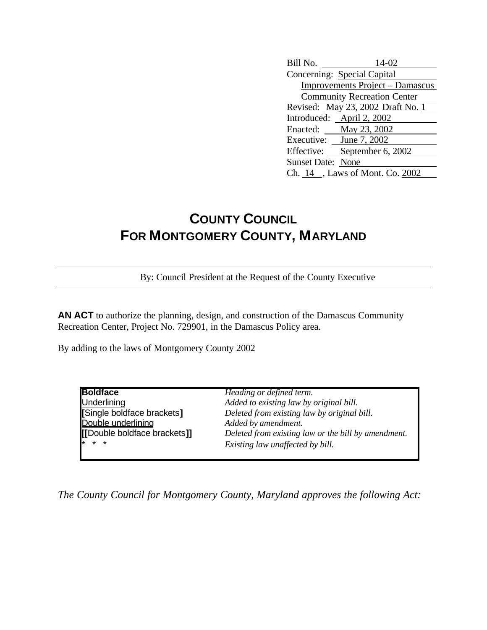Bill No. 14-02 Concerning: Special Capital Improvements Project – Damascus Community Recreation Center Revised: May 23, 2002 Draft No. 1 Introduced: April 2, 2002 Enacted: May 23, 2002 Executive: June 7, 2002 Effective: September 6, 2002 Sunset Date: None Ch. 14 , Laws of Mont. Co. 2002

## **COUNTY COUNCIL FOR MONTGOMERY COUNTY, MARYLAND**

By: Council President at the Request of the County Executive

**AN ACT** to authorize the planning, design, and construction of the Damascus Community Recreation Center, Project No. 729901, in the Damascus Policy area.

By adding to the laws of Montgomery County 2002

| Heading or defined term.                            |
|-----------------------------------------------------|
| Added to existing law by original bill.             |
| Deleted from existing law by original bill.         |
| Added by amendment.                                 |
| Deleted from existing law or the bill by amendment. |
| Existing law unaffected by bill.                    |
|                                                     |

*The County Council for Montgomery County, Maryland approves the following Act:*